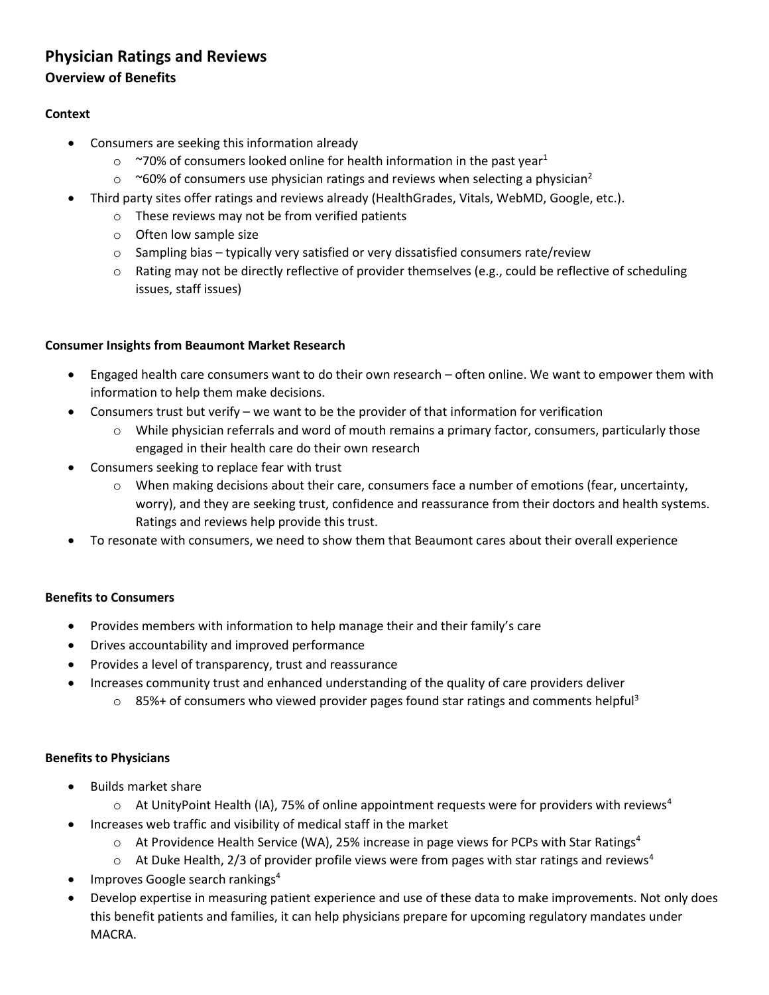# **Physician Ratings and Reviews**

### **Overview of Benefits**

### **Context**

- Consumers are seeking this information already
	- $\degree$  ~70% of consumers looked online for health information in the past year<sup>1</sup>
	- $\circ$  ~60% of consumers use physician ratings and reviews when selecting a physician<sup>2</sup>
- Third party sites offer ratings and reviews already (HealthGrades, Vitals, WebMD, Google, etc.).
	- o These reviews may not be from verified patients
	- o Often low sample size
	- $\circ$  Sampling bias typically very satisfied or very dissatisfied consumers rate/review
	- $\circ$  Rating may not be directly reflective of provider themselves (e.g., could be reflective of scheduling issues, staff issues)

### **Consumer Insights from Beaumont Market Research**

- Engaged health care consumers want to do their own research often online. We want to empower them with information to help them make decisions.
- Consumers trust but verify we want to be the provider of that information for verification
	- o While physician referrals and word of mouth remains a primary factor, consumers, particularly those engaged in their health care do their own research
- Consumers seeking to replace fear with trust
	- $\circ$  When making decisions about their care, consumers face a number of emotions (fear, uncertainty, worry), and they are seeking trust, confidence and reassurance from their doctors and health systems. Ratings and reviews help provide this trust.
- To resonate with consumers, we need to show them that Beaumont cares about their overall experience

### **Benefits to Consumers**

- Provides members with information to help manage their and their family's care
- Drives accountability and improved performance
- Provides a level of transparency, trust and reassurance
- Increases community trust and enhanced understanding of the quality of care providers deliver
	- $\circ$  85%+ of consumers who viewed provider pages found star ratings and comments helpful<sup>3</sup>

### **Benefits to Physicians**

- Builds market share
	- $\circ$  At UnityPoint Health (IA), 75% of online appointment requests were for providers with reviews<sup>4</sup>
- Increases web traffic and visibility of medical staff in the market
	- $\circ$  At Providence Health Service (WA), 25% increase in page views for PCPs with Star Ratings<sup>4</sup>
	- $\circ$  At Duke Health, 2/3 of provider profile views were from pages with star ratings and reviews<sup>4</sup>
- Improves Google search rankings<sup>4</sup>
- Develop expertise in measuring patient experience and use of these data to make improvements. Not only does this benefit patients and families, it can help physicians prepare for upcoming regulatory mandates under MACRA.